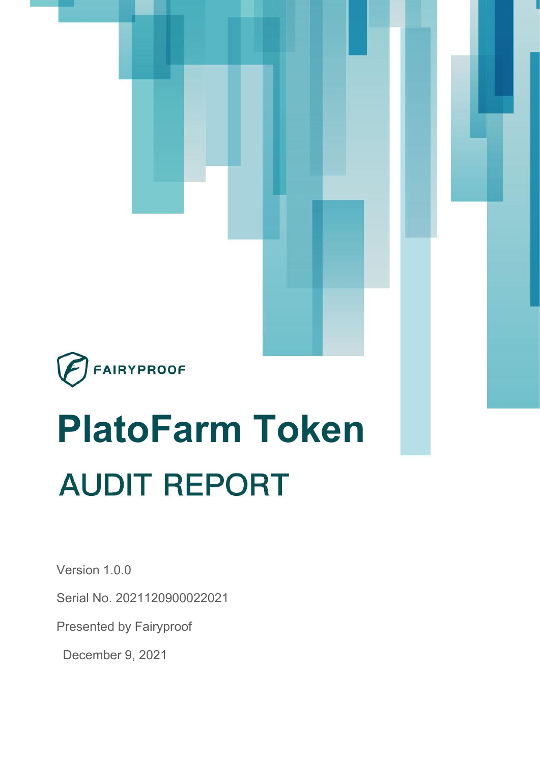

# **PlatoFarm Token AUDIT REPORT**

Version 1.0.0

Serial No. 2021120900022021

Presented by Fairyproof

December 9, 2021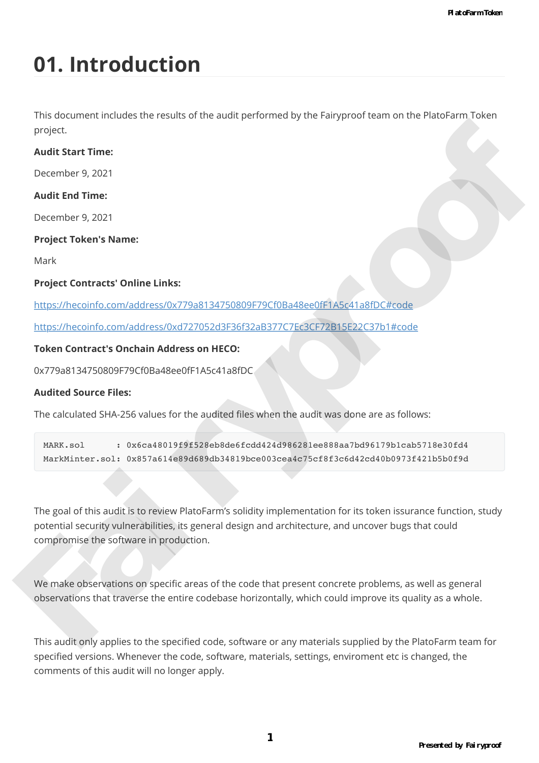# **01. Introduction**

This document includes the results of the audit performed by the Fairyproof team on the PlatoFarm Token project.

### **Audit Start Time:**

December 9, 2021

### **Audit End Time:**

December 9, 2021

### **Project Token's Name:**

Mark

### **Project Contracts' Online Links:**

https://hecoinfo.com/address/0x779a8134750809F79Cf0Ba48ee0fF1A5c41a8fDC#code

https://hecoinfo.com/address/0xd727052d3F36f32aB377C7Ec3CF72B15E22C37b1#code

### **Token Contract's Onchain Address on HECO:**

0x779a8134750809F79Cf0Ba48ee0fF1A5c41a8fDC

### **Audited Source Files:**

The calculated SHA-256 values for the audited files when the audit was done are as follows:

| MARK.sol | $: 0x6ca48019f9f528eb8de6fcdd424d986281ee888aa7bd96179b1cab5718e30fd4$             |
|----------|------------------------------------------------------------------------------------|
|          | MarkMinter.sol: 0x857a614e89d689db34819bce003cea4c75cf8f3c6d42cd40b0973f421b5b0f9d |

The goal of this audit is to review PlatoFarm's solidity implementation for its token issurance function, study potential security vulnerabilities, its general design and architecture, and uncover bugs that could compromise the software in production. [p](https://hecoinfo.com/address/0xd727052d3F36f32aB377C7Ec3CF72B15E22C37b1#code)[ro](https://hecoinfo.com/address/0x779a8134750809F79Cf0Ba48ee0fF1A5c41a8fDC#code)ject.<br> **Audit Start Time:**<br>
December 9, 2021<br> **Project Token's Name:**<br>
Naty<br>
May imposite Contracts' Online Links:<br>
Https://heconolo.com/address/0x779881347508091735/03484ee0ft-1A5c41a8ft0c/frede<br>
https://heconolo.com/a

We make observations on specific areas of the code that present concrete problems, as well as general observations that traverse the entire codebase horizontally, which could improve its quality as a whole.

This audit only applies to the specified code, software or any materials supplied by the PlatoFarm team for specified versions. Whenever the code, software, materials, settings, enviroment etc is changed, the comments of this audit will no longer apply.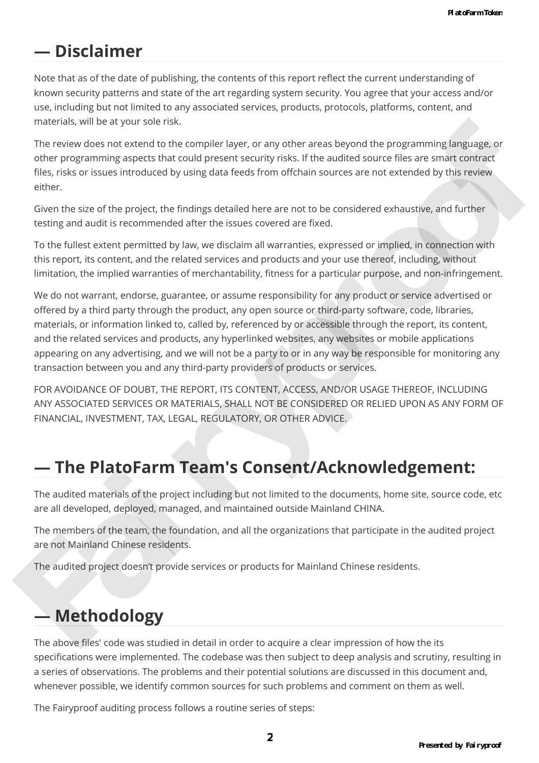### **— Disclaimer**

Note that as of the date of publishing, the contents of this report reflect the current understanding of known security patterns and state of the art regarding system security. You agree that your access and/or use, including but not limited to any associated services, products, protocols, platforms, content, and materials, will be at your sole risk.

The review does not extend to the compiler layer, or any other areas beyond the programming language, or other programming aspects that could present security risks. If the audited source files are smart contract files, risks or issues introduced by using data feeds from offchain sources are not extended by this review either.

Given the size of the project, the findings detailed here are not to be considered exhaustive, and further testing and audit is recommended after the issues covered are fixed.

To the fullest extent permitted by law, we disclaim all warranties, expressed or implied, in connection with this report, its content, and the related services and products and your use thereof, including, without limitation, the implied warranties of merchantability, fitness for a particular purpose, and non-infringement.

We do not warrant, endorse, guarantee, or assume responsibility for any product or service advertised or offered by a third party through the product, any open source or third-party software, code, libraries, materials, or information linked to, called by, referenced by or accessible through the report, its content, and the related services and products, any hyperlinked websites, any websites or mobile applications appearing on any advertising, and we will not be a party to or in any way be responsible for monitoring any transaction between you and any third-party providers of products or services. interimals, without a syous burst into couplied byer, or any other areas beyond the programming larguage, or<br>other responsions can esten the complete layer, or any other areas beyond the programming larguage, or<br>other regr

FOR AVOIDANCE OF DOUBT, THE REPORT, ITS CONTENT, ACCESS, AND/OR USAGE THEREOF, INCLUDING ANY ASSOCIATED SERVICES OR MATERIALS, SHALL NOT BE CONSIDERED OR RELIED UPON AS ANY FORM OF FINANCIAL, INVESTMENT, TAX, LEGAL, REGULATORY, OR OTHER ADVICE.

### **— The PlatoFarm Team's Consent/Acknowledgement:**

The audited materials of the project including but not limited to the documents, home site, source code, etc are all developed, deployed, managed, and maintained outside Mainland CHINA.

The members of the team, the foundation, and all the organizations that participate in the audited project are not Mainland Chinese residents.

The audited project doesn't provide services or products for Mainland Chinese residents.

## **— Methodology**

The above files' code was studied in detail in order to acquire a clear impression of how the its specifications were implemented. The codebase was then subject to deep analysis and scrutiny, resulting in a series of observations. The problems and their potential solutions are discussed in this document and, whenever possible, we identify common sources for such problems and comment on them as well.

The Fairyproof auditing process follows a routine series of steps: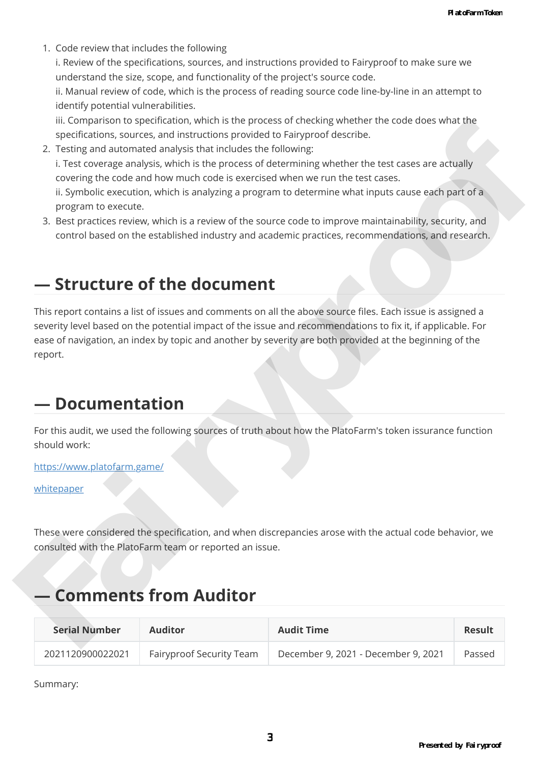1. Code review that includes the following

i. Review of the specifications, sources, and instructions provided to Fairyproof to make sure we understand the size, scope, and functionality of the project's source code.

ii. Manual review of code, which is the process of reading source code line-by-line in an attempt to identify potential vulnerabilities.

iii. Comparison to specification, which is the process of checking whether the code does what the specifications, sources, and instructions provided to Fairyproof describe.

- 2. Testing and automated analysis that includes the following: i. Test coverage analysis, which is the process of determining whether the test cases are actually covering the code and how much code is exercised when we run the test cases. ii. Symbolic execution, which is analyzing a program to determine what inputs cause each part of a program to execute. is complete that space that the space of the control of the space of the space of the space of the space of the space of the space of the space of the space of the space of the space of the space of the space of the space
	- 3. Best practices review, which is a review of the source code to improve maintainability, security, and control based on the established industry and academic practices, recommendations, and research.

### **— Structure of the document**

This report contains a list of issues and comments on all the above source files. Each issue is assigned a severity level based on the potential impact of the issue and recommendations to fix it, if applicable. For ease of navigation, an index by topic and another by severity are both provided at the beginning of the report.

### **— Documentation**

For this audit, we used the following sources of truth about how the PlatoFarm's token issurance function should work:

https://www.platofarm.game/

whitepaper

These were considered the specification, and when discrepancies arose with the actual code behavior, we consulted with the PlatoFarm team or reported an issue.

### **— Comments from Auditor**

| <b>Serial Number</b> | Auditor                  | <b>Audit Time</b>                   | Result |
|----------------------|--------------------------|-------------------------------------|--------|
| 2021120900022021     | Fairyproof Security Team | December 9, 2021 - December 9, 2021 | Passed |

Summary: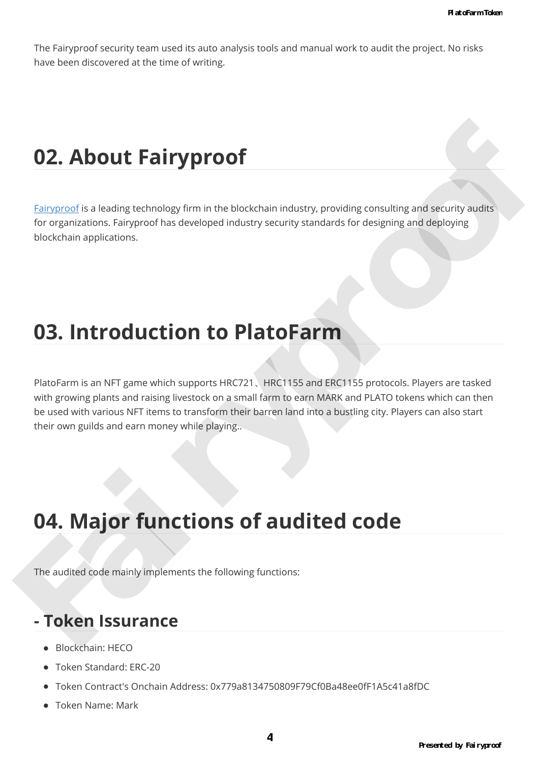The Fairyproof security team used its auto analysis tools and manual work to audit the project. No risks have been discovered at the time of writing.

# **02. About Fairyproof**

Fairyproof is a leading technology firm in the blockchain industry, providing consulting and security audits for organizations. Fairyproof has developed industry security standards for designing and deploying blockchain applications.

# **03. Introduction to PlatoFarm**

PlatoFarm is an NFT game which supports HRC721, HRC1155 and ERC1155 protocols. Players are tasked with growing plants and raising livestock on a small farm to earn MARK and PLATO tokens which can then be used with various NFT items to transform their barren land into a bustling city. Players can also start their own guilds and earn money while playing.. **02. About Fairyproof**<br>
Fairyproof is a leading sechanize of min the blockhain industry, providing consulting and security audits<br>
for organizations. Fairyproof has developed industry security standards for designing and d

# **04. Major functions of audited code**

The audited code mainly implements the following functions:

### **- Token Issurance**

- Blockchain: HECO
- Token Standard: ERC-20
- Token Contract's Onchain Address: 0x779a8134750809F79Cf0Ba48ee0fF1A5c41a8fDC
- Token Name: Mark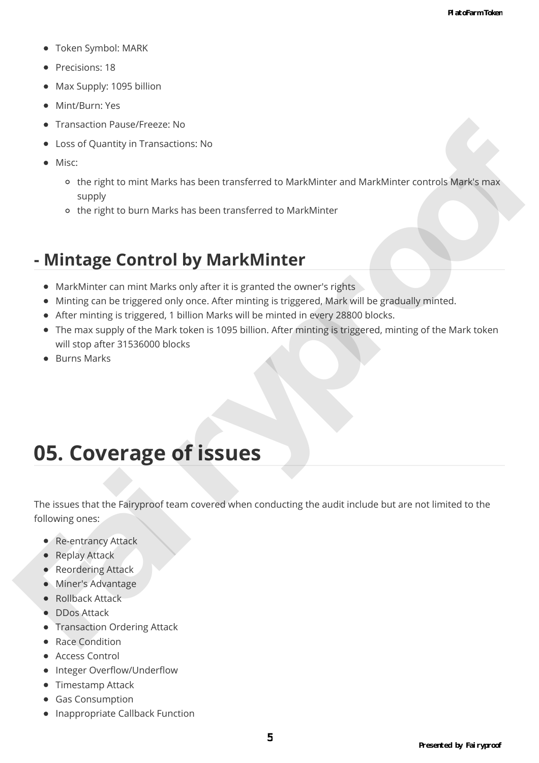- Token Symbol: MARK
- **Precisions: 18**
- Max Supply: 1095 billion
- Mint/Burn: Yes
- Transaction Pause/Freeze: No
- Loss of Quantity in Transactions: No
- Misc:
	- the right to mint Marks has been transferred to MarkMinter and MarkMinter controls Mark's max supply
	- the right to burn Marks has been transferred to MarkMinter

### **- Mintage Control by MarkMinter**

- MarkMinter can mint Marks only after it is granted the owner's rights
- Minting can be triggered only once. After minting is triggered, Mark will be gradually minted.
- After minting is triggered, 1 billion Marks will be minted in every 28800 blocks.
- The max supply of the Mark token is 1095 billion. After minting is triggered, minting of the Mark token will stop after 31536000 blocks Financial Prace Teams<br>
Fairwork of Quanty in Transactions: No<br>
Fairwork of the right to minit Marks has been transferred to MarkMinter and MarkMater controls. Mark mass<br>
supply<br>
Fairwork of the right to burn Marks has been
	- Burns Marks

# **05. Coverage of issues**

The issues that the Fairyproof team covered when conducting the audit include but are not limited to the following ones:

- Re-entrancy Attack
- Replay Attack
- Reordering Attack
- Miner's Advantage
- Rollback Attack
- **DDos Attack**
- **Transaction Ordering Attack**
- Race Condition
- Access Control
- Integer Overflow/Underflow
- Timestamp Attack
- **•** Gas Consumption
- Inappropriate Callback Function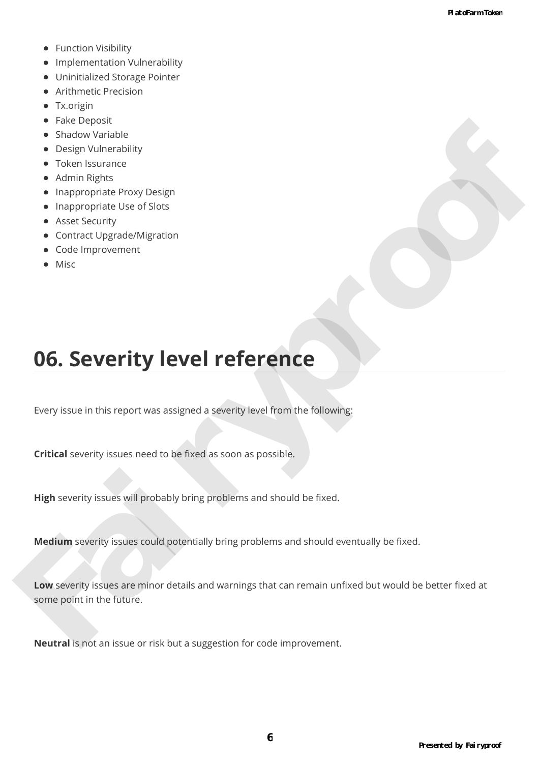- Function Visibility
- Implementation Vulnerability
- Uninitialized Storage Pointer
- Arithmetic Precision
- Tx.origin
- Fake Deposit
- Shadow Variable
- Design Vulnerability
- **•** Token Issurance
- Admin Rights
- Inappropriate Proxy Design
- Inappropriate Use of Slots
- **•** Asset Security
- Contract Upgrade/Migration
- Code Improvement
- Misc

# **06. Severity level reference**

Every issue in this report was assigned a severity level from the following:

**Critical** severity issues need to be fixed as soon as possible.

**High** severity issues will probably bring problems and should be fixed.

**Medium** severity issues could potentially bring problems and should eventually be fixed.

**Low** severity issues are minor details and warnings that can remain unfixed but would be better fixed at some point in the future. Finder Design (Minited Diliy)<br>
Shadow Vorholde<br>
A charles Responsibility<br>
Fair is propriate the original property<br>
A charles Responsibility<br>
Content Upgrade/Migration<br>
Content Upgrade/Migration<br>
Content Upgrade/Migration<br>

**Neutral** is not an issue or risk but a suggestion for code improvement.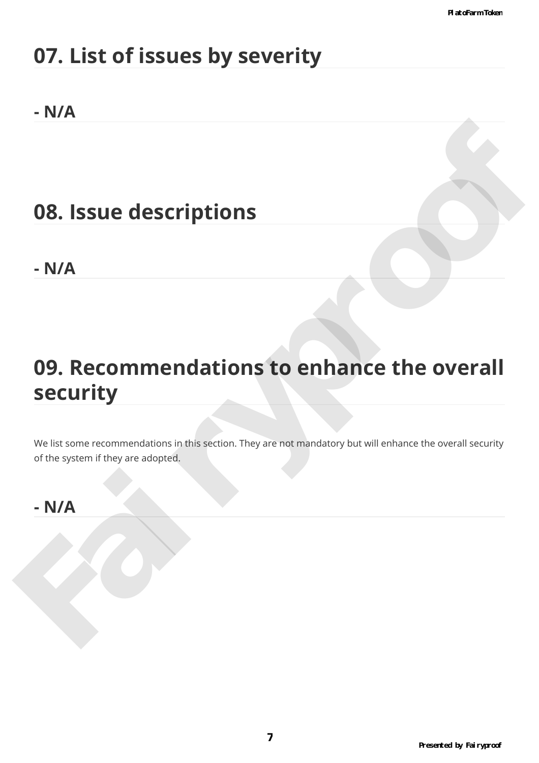# **07. List of issues by severity**

### **- N/A**

# **08. Issue descriptions**

**- N/A**

# **09. Recommendations to enhance the overall security** 98. Issue descriptions<br>- N/A<br>99. Recommendations to enhance the overall<br>security<br>welts some recommendations in this section. They are not mandatory but will enhance the overall security<br>- N/A<br>- N/A

We list some recommendations in this section. They are not mandatory but will enhance the overall security of the system if they are adopted.

### **- N/A**